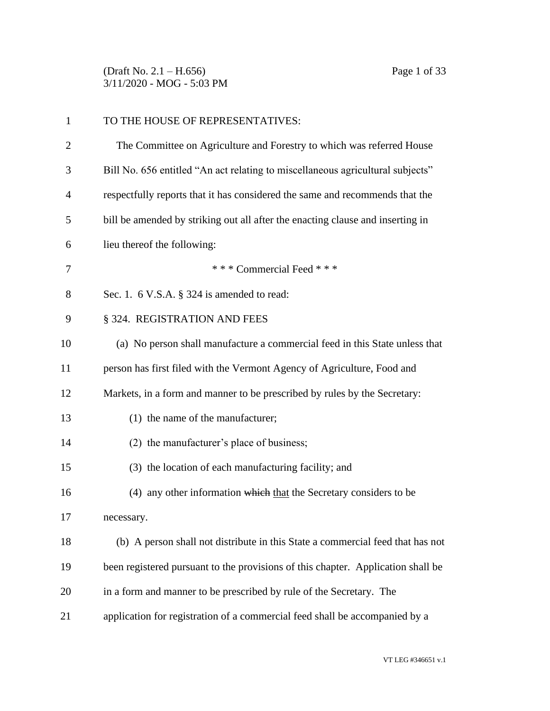(Draft No. 2.1 – H.656) Page 1 of 33 3/11/2020 - MOG - 5:03 PM

| $\mathbf{1}$ | TO THE HOUSE OF REPRESENTATIVES:                                                 |
|--------------|----------------------------------------------------------------------------------|
| 2            | The Committee on Agriculture and Forestry to which was referred House            |
| 3            | Bill No. 656 entitled "An act relating to miscellaneous agricultural subjects"   |
| 4            | respectfully reports that it has considered the same and recommends that the     |
| 5            | bill be amended by striking out all after the enacting clause and inserting in   |
| 6            | lieu thereof the following:                                                      |
| 7            | *** Commercial Feed ***                                                          |
| 8            | Sec. 1. $6$ V.S.A. $\S$ 324 is amended to read:                                  |
| 9            | § 324. REGISTRATION AND FEES                                                     |
| 10           | (a) No person shall manufacture a commercial feed in this State unless that      |
| 11           | person has first filed with the Vermont Agency of Agriculture, Food and          |
| 12           | Markets, in a form and manner to be prescribed by rules by the Secretary:        |
| 13           | (1) the name of the manufacturer;                                                |
| 14           | (2) the manufacturer's place of business;                                        |
| 15           | (3) the location of each manufacturing facility; and                             |
| 16           | (4) any other information which that the Secretary considers to be               |
| 17           | necessary.                                                                       |
| 18           | (b) A person shall not distribute in this State a commercial feed that has not   |
| 19           | been registered pursuant to the provisions of this chapter. Application shall be |
| 20           | in a form and manner to be prescribed by rule of the Secretary. The              |
| 21           | application for registration of a commercial feed shall be accompanied by a      |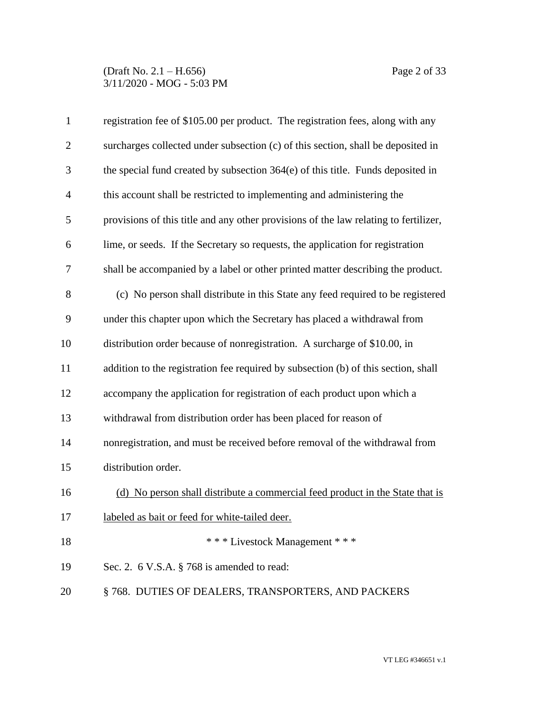## (Draft No. 2.1 – H.656) Page 2 of 33 3/11/2020 - MOG - 5:03 PM

| $\mathbf{1}$   | registration fee of \$105.00 per product. The registration fees, along with any      |
|----------------|--------------------------------------------------------------------------------------|
| $\overline{2}$ | surcharges collected under subsection (c) of this section, shall be deposited in     |
| 3              | the special fund created by subsection 364(e) of this title. Funds deposited in      |
| $\overline{4}$ | this account shall be restricted to implementing and administering the               |
| 5              | provisions of this title and any other provisions of the law relating to fertilizer, |
| 6              | lime, or seeds. If the Secretary so requests, the application for registration       |
| 7              | shall be accompanied by a label or other printed matter describing the product.      |
| 8              | (c) No person shall distribute in this State any feed required to be registered      |
| 9              | under this chapter upon which the Secretary has placed a withdrawal from             |
| 10             | distribution order because of nonregistration. A surcharge of \$10.00, in            |
| 11             | addition to the registration fee required by subsection (b) of this section, shall   |
| 12             | accompany the application for registration of each product upon which a              |
| 13             | withdrawal from distribution order has been placed for reason of                     |
| 14             | nonregistration, and must be received before removal of the withdrawal from          |
| 15             | distribution order.                                                                  |
| 16             | (d) No person shall distribute a commercial feed product in the State that is        |
| 17             | labeled as bait or feed for white-tailed deer.                                       |
| 18             | *** Livestock Management ***                                                         |
| 19             | Sec. 2. $6$ V.S.A. $\S$ 768 is amended to read:                                      |
| 20             | §768. DUTIES OF DEALERS, TRANSPORTERS, AND PACKERS                                   |
|                |                                                                                      |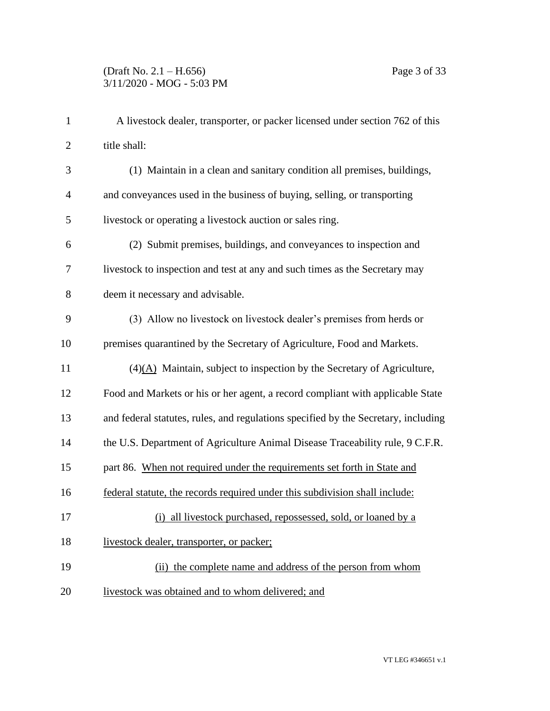| $\mathbf{1}$   | A livestock dealer, transporter, or packer licensed under section 762 of this      |
|----------------|------------------------------------------------------------------------------------|
| $\overline{2}$ | title shall:                                                                       |
| 3              | (1) Maintain in a clean and sanitary condition all premises, buildings,            |
| $\overline{4}$ | and conveyances used in the business of buying, selling, or transporting           |
| 5              | livestock or operating a livestock auction or sales ring.                          |
| 6              | (2) Submit premises, buildings, and conveyances to inspection and                  |
| $\tau$         | livestock to inspection and test at any and such times as the Secretary may        |
| 8              | deem it necessary and advisable.                                                   |
| 9              | (3) Allow no livestock on livestock dealer's premises from herds or                |
| 10             | premises quarantined by the Secretary of Agriculture, Food and Markets.            |
| 11             | $(4)(A)$ Maintain, subject to inspection by the Secretary of Agriculture,          |
| 12             | Food and Markets or his or her agent, a record compliant with applicable State     |
| 13             | and federal statutes, rules, and regulations specified by the Secretary, including |
| 14             | the U.S. Department of Agriculture Animal Disease Traceability rule, 9 C.F.R.      |
| 15             | part 86. When not required under the requirements set forth in State and           |
| 16             | federal statute, the records required under this subdivision shall include:        |
| 17             | (i) all livestock purchased, repossessed, sold, or loaned by a                     |
| 18             | livestock dealer, transporter, or packer;                                          |
| 19             | (ii) the complete name and address of the person from whom                         |
| 20             | livestock was obtained and to whom delivered; and                                  |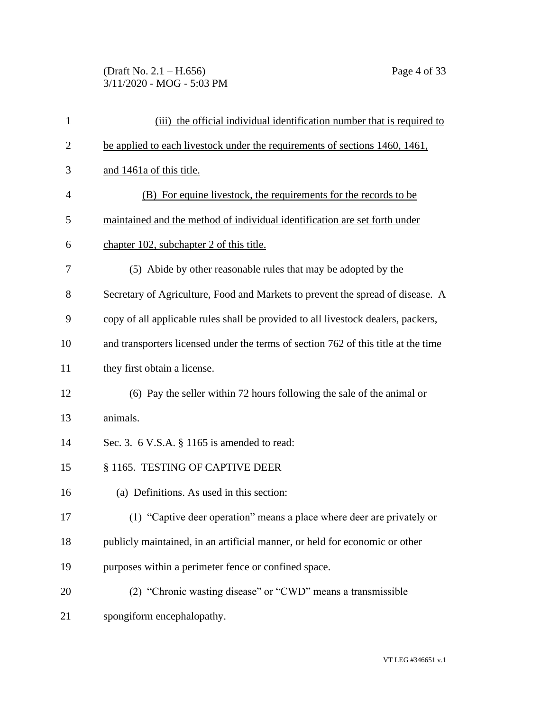# (Draft No. 2.1 – H.656) Page 4 of 33 3/11/2020 - MOG - 5:03 PM

| $\mathbf{1}$   | (iii) the official individual identification number that is required to            |
|----------------|------------------------------------------------------------------------------------|
| $\overline{2}$ | be applied to each livestock under the requirements of sections 1460, 1461,        |
| 3              | and 1461a of this title.                                                           |
| 4              | (B) For equine livestock, the requirements for the records to be                   |
| 5              | maintained and the method of individual identification are set forth under         |
| 6              | chapter 102, subchapter 2 of this title.                                           |
| 7              | (5) Abide by other reasonable rules that may be adopted by the                     |
| 8              | Secretary of Agriculture, Food and Markets to prevent the spread of disease. A     |
| 9              | copy of all applicable rules shall be provided to all livestock dealers, packers,  |
| 10             | and transporters licensed under the terms of section 762 of this title at the time |
| 11             | they first obtain a license.                                                       |
| 12             | (6) Pay the seller within 72 hours following the sale of the animal or             |
| 13             | animals.                                                                           |
| 14             | Sec. 3. 6 V.S.A. § 1165 is amended to read:                                        |
| 15             | § 1165. TESTING OF CAPTIVE DEER                                                    |
| 16             | (a) Definitions. As used in this section:                                          |
| 17             | (1) "Captive deer operation" means a place where deer are privately or             |
| 18             | publicly maintained, in an artificial manner, or held for economic or other        |
| 19             | purposes within a perimeter fence or confined space.                               |
| 20             | (2) "Chronic wasting disease" or "CWD" means a transmissible                       |
| 21             | spongiform encephalopathy.                                                         |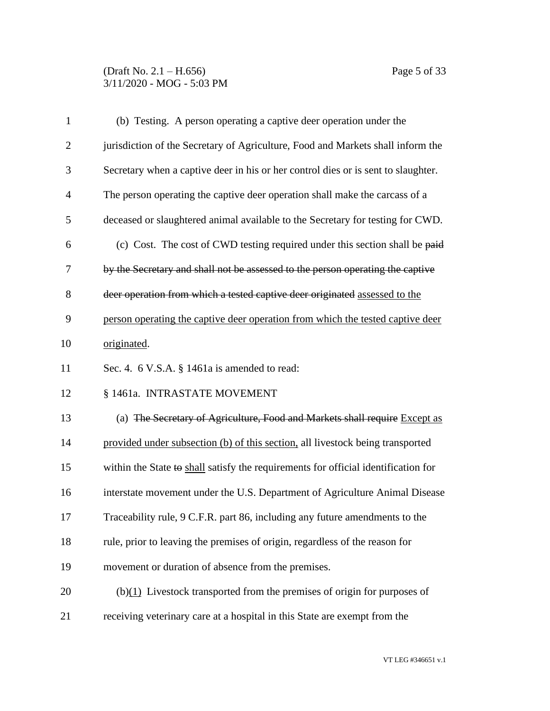## (Draft No. 2.1 – H.656) Page 5 of 33 3/11/2020 - MOG - 5:03 PM

| $\mathbf{1}$   | (b) Testing. A person operating a captive deer operation under the                 |
|----------------|------------------------------------------------------------------------------------|
| $\mathbf{2}$   | jurisdiction of the Secretary of Agriculture, Food and Markets shall inform the    |
| 3              | Secretary when a captive deer in his or her control dies or is sent to slaughter.  |
| $\overline{4}$ | The person operating the captive deer operation shall make the carcass of a        |
| 5              | deceased or slaughtered animal available to the Secretary for testing for CWD.     |
| 6              | (c) Cost. The cost of CWD testing required under this section shall be paid        |
| 7              | by the Secretary and shall not be assessed to the person operating the captive     |
| 8              | deer operation from which a tested captive deer originated assessed to the         |
| 9              | person operating the captive deer operation from which the tested captive deer     |
| 10             | originated.                                                                        |
| 11             | Sec. 4. 6 V.S.A. § 1461a is amended to read:                                       |
| 12             | § 1461a. INTRASTATE MOVEMENT                                                       |
| 13             | (a) The Secretary of Agriculture, Food and Markets shall require Except as         |
| 14             | provided under subsection (b) of this section, all livestock being transported     |
| 15             | within the State to shall satisfy the requirements for official identification for |
| 16             | interstate movement under the U.S. Department of Agriculture Animal Disease        |
| 17             | Traceability rule, 9 C.F.R. part 86, including any future amendments to the        |
| 18             | rule, prior to leaving the premises of origin, regardless of the reason for        |
| 19             | movement or duration of absence from the premises.                                 |
| 20             | $(b)(1)$ Livestock transported from the premises of origin for purposes of         |
| 21             | receiving veterinary care at a hospital in this State are exempt from the          |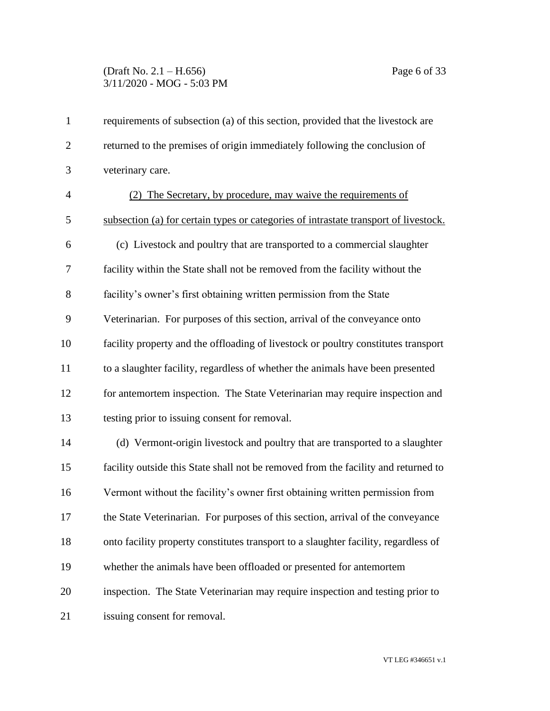# (Draft No. 2.1 – H.656) Page 6 of 33 3/11/2020 - MOG - 5:03 PM

| $\mathbf{1}$   | requirements of subsection (a) of this section, provided that the livestock are      |
|----------------|--------------------------------------------------------------------------------------|
| $\overline{2}$ | returned to the premises of origin immediately following the conclusion of           |
| 3              | veterinary care.                                                                     |
| $\overline{4}$ | (2) The Secretary, by procedure, may waive the requirements of                       |
| 5              | subsection (a) for certain types or categories of intrastate transport of livestock. |
| 6              | (c) Livestock and poultry that are transported to a commercial slaughter             |
| $\overline{7}$ | facility within the State shall not be removed from the facility without the         |
| 8              | facility's owner's first obtaining written permission from the State                 |
| 9              | Veterinarian. For purposes of this section, arrival of the conveyance onto           |
| 10             | facility property and the offloading of livestock or poultry constitutes transport   |
| 11             | to a slaughter facility, regardless of whether the animals have been presented       |
| 12             | for antemortem inspection. The State Veterinarian may require inspection and         |
| 13             | testing prior to issuing consent for removal.                                        |
| 14             | (d) Vermont-origin livestock and poultry that are transported to a slaughter         |
| 15             | facility outside this State shall not be removed from the facility and returned to   |
| 16             | Vermont without the facility's owner first obtaining written permission from         |
| 17             | the State Veterinarian. For purposes of this section, arrival of the conveyance      |
| 18             | onto facility property constitutes transport to a slaughter facility, regardless of  |
| 19             | whether the animals have been offloaded or presented for antemortem                  |
| 20             | inspection. The State Veterinarian may require inspection and testing prior to       |
| 21             | issuing consent for removal.                                                         |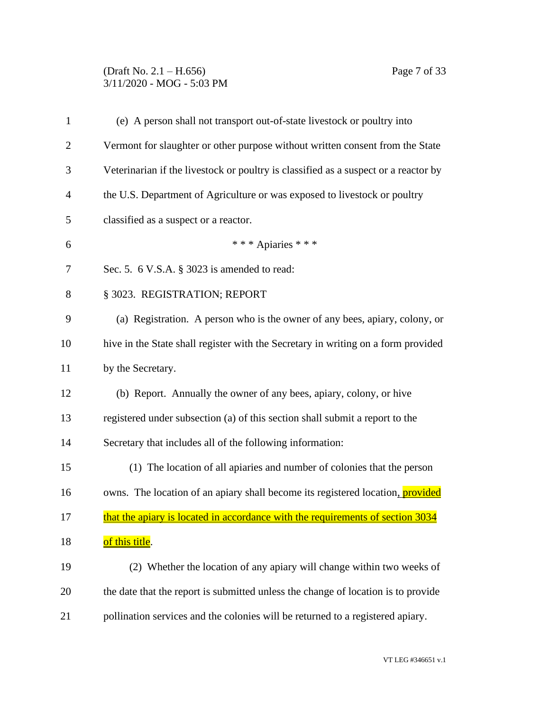### (Draft No. 2.1 – H.656) Page 7 of 33 3/11/2020 - MOG - 5:03 PM

| $\mathbf{1}$   | (e) A person shall not transport out-of-state livestock or poultry into               |
|----------------|---------------------------------------------------------------------------------------|
| $\overline{2}$ | Vermont for slaughter or other purpose without written consent from the State         |
| 3              | Veterinarian if the livestock or poultry is classified as a suspect or a reactor by   |
| 4              | the U.S. Department of Agriculture or was exposed to livestock or poultry             |
| 5              | classified as a suspect or a reactor.                                                 |
| 6              | *** Apiaries ***                                                                      |
| 7              | Sec. 5. 6 V.S.A. § 3023 is amended to read:                                           |
| 8              | § 3023. REGISTRATION; REPORT                                                          |
| 9              | (a) Registration. A person who is the owner of any bees, apiary, colony, or           |
| 10             | hive in the State shall register with the Secretary in writing on a form provided     |
| 11             | by the Secretary.                                                                     |
| 12             | (b) Report. Annually the owner of any bees, apiary, colony, or hive                   |
| 13             | registered under subsection (a) of this section shall submit a report to the          |
| 14             | Secretary that includes all of the following information:                             |
| 15             | (1) The location of all apiaries and number of colonies that the person               |
| 16             | owns. The location of an apiary shall become its registered location, <i>provided</i> |
| 17             | that the apiary is located in accordance with the requirements of section 3034        |
| 18             | of this title.                                                                        |
| 19             | (2) Whether the location of any apiary will change within two weeks of                |
| 20             | the date that the report is submitted unless the change of location is to provide     |
| 21             | pollination services and the colonies will be returned to a registered apiary.        |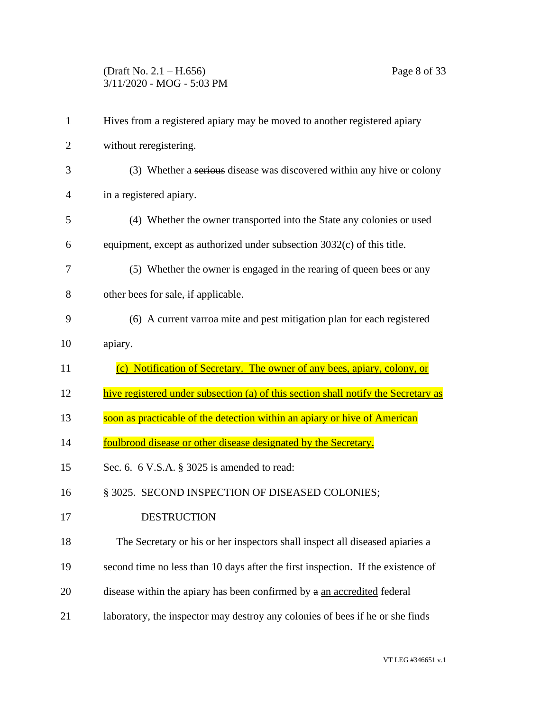# (Draft No. 2.1 – H.656) Page 8 of 33 3/11/2020 - MOG - 5:03 PM

| $\mathbf{1}$   | Hives from a registered apiary may be moved to another registered apiary           |
|----------------|------------------------------------------------------------------------------------|
| $\overline{2}$ | without reregistering.                                                             |
| 3              | (3) Whether a serious disease was discovered within any hive or colony             |
| $\overline{4}$ | in a registered apiary.                                                            |
| 5              | (4) Whether the owner transported into the State any colonies or used              |
| 6              | equipment, except as authorized under subsection 3032(c) of this title.            |
| 7              | (5) Whether the owner is engaged in the rearing of queen bees or any               |
| 8              | other bees for sale, if applicable.                                                |
| 9              | (6) A current varroa mite and pest mitigation plan for each registered             |
| 10             | apiary.                                                                            |
|                |                                                                                    |
| 11             | (c) Notification of Secretary. The owner of any bees, apiary, colony, or           |
| 12             | hive registered under subsection (a) of this section shall notify the Secretary as |
| 13             | soon as practicable of the detection within an apiary or hive of American          |
| 14             | foulbrood disease or other disease designated by the Secretary.                    |
| 15             | Sec. 6. 6 V.S.A. § 3025 is amended to read:                                        |
| 16             | § 3025. SECOND INSPECTION OF DISEASED COLONIES;                                    |
| 17             | <b>DESTRUCTION</b>                                                                 |
| 18             | The Secretary or his or her inspectors shall inspect all diseased apiaries a       |
| 19             | second time no less than 10 days after the first inspection. If the existence of   |
| 20             | disease within the apiary has been confirmed by a an accredited federal            |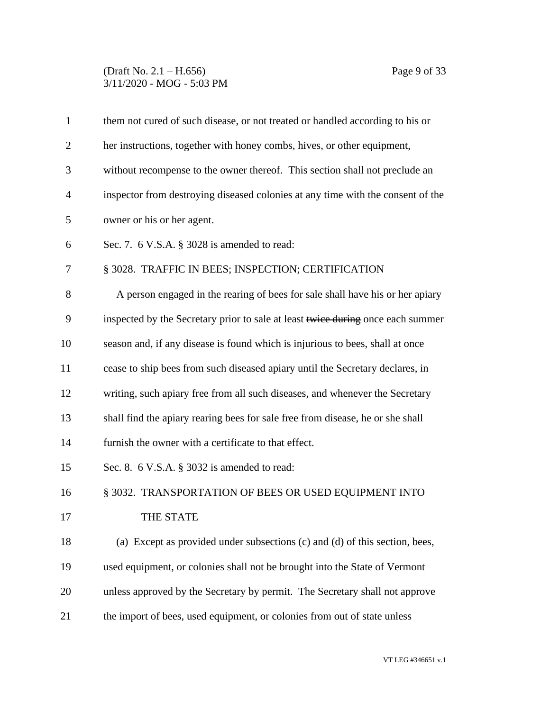#### (Draft No. 2.1 – H.656) Page 9 of 33 3/11/2020 - MOG - 5:03 PM

| $\mathbf{1}$   | them not cured of such disease, or not treated or handled according to his or   |
|----------------|---------------------------------------------------------------------------------|
| $\overline{2}$ | her instructions, together with honey combs, hives, or other equipment,         |
| 3              | without recompense to the owner thereof. This section shall not preclude an     |
| $\overline{4}$ | inspector from destroying diseased colonies at any time with the consent of the |
| 5              | owner or his or her agent.                                                      |
| 6              | Sec. 7. $6$ V.S.A. $\S$ 3028 is amended to read:                                |
| 7              | § 3028. TRAFFIC IN BEES; INSPECTION; CERTIFICATION                              |
| 8              | A person engaged in the rearing of bees for sale shall have his or her apiary   |
| 9              | inspected by the Secretary prior to sale at least twice during once each summer |
| 10             | season and, if any disease is found which is injurious to bees, shall at once   |
| 11             | cease to ship bees from such diseased apiary until the Secretary declares, in   |
| 12             | writing, such apiary free from all such diseases, and whenever the Secretary    |
| 13             | shall find the apiary rearing bees for sale free from disease, he or she shall  |
| 14             | furnish the owner with a certificate to that effect.                            |
| 15             | Sec. 8. 6 V.S.A. § 3032 is amended to read:                                     |
| 16             | § 3032. TRANSPORTATION OF BEES OR USED EQUIPMENT INTO                           |
| 17             | THE STATE                                                                       |
| 18             | (a) Except as provided under subsections (c) and (d) of this section, bees,     |
| 19             | used equipment, or colonies shall not be brought into the State of Vermont      |
| 20             | unless approved by the Secretary by permit. The Secretary shall not approve     |
| 21             | the import of bees, used equipment, or colonies from out of state unless        |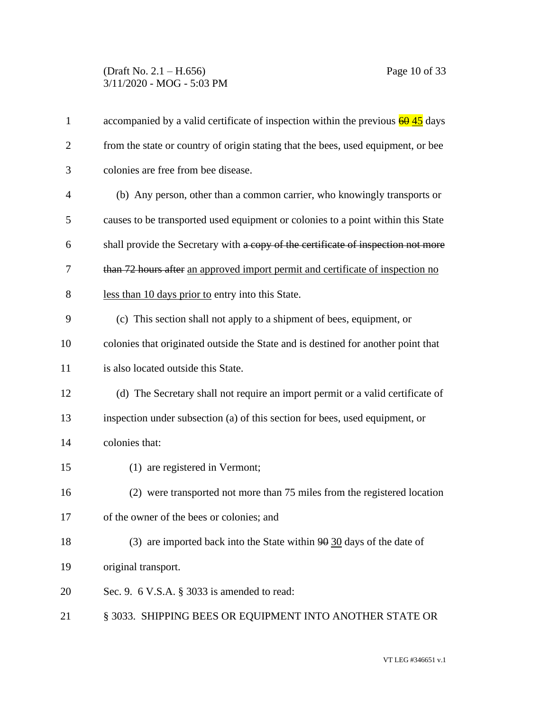### (Draft No. 2.1 – H.656) Page 10 of 33 3/11/2020 - MOG - 5:03 PM

| $\mathbf{1}$   | accompanied by a valid certificate of inspection within the previous $\frac{60}{45}$ days |
|----------------|-------------------------------------------------------------------------------------------|
| $\overline{2}$ | from the state or country of origin stating that the bees, used equipment, or bee         |
| 3              | colonies are free from bee disease.                                                       |
| 4              | (b) Any person, other than a common carrier, who knowingly transports or                  |
| 5              | causes to be transported used equipment or colonies to a point within this State          |
| 6              | shall provide the Secretary with a copy of the certificate of inspection not more         |
| 7              | than 72 hours after an approved import permit and certificate of inspection no            |
| 8              | less than 10 days prior to entry into this State.                                         |
| 9              | (c) This section shall not apply to a shipment of bees, equipment, or                     |
| 10             | colonies that originated outside the State and is destined for another point that         |
| 11             | is also located outside this State.                                                       |
| 12             | (d) The Secretary shall not require an import permit or a valid certificate of            |
| 13             | inspection under subsection (a) of this section for bees, used equipment, or              |
| 14             | colonies that:                                                                            |
| 15             | (1) are registered in Vermont;                                                            |
| 16             | (2) were transported not more than 75 miles from the registered location                  |
| 17             | of the owner of the bees or colonies; and                                                 |
| 18             | (3) are imported back into the State within $90$ 30 days of the date of                   |
| 19             | original transport.                                                                       |
| 20             | Sec. 9. 6 V.S.A. $\S$ 3033 is amended to read:                                            |
| 21             | § 3033. SHIPPING BEES OR EQUIPMENT INTO ANOTHER STATE OR                                  |
|                |                                                                                           |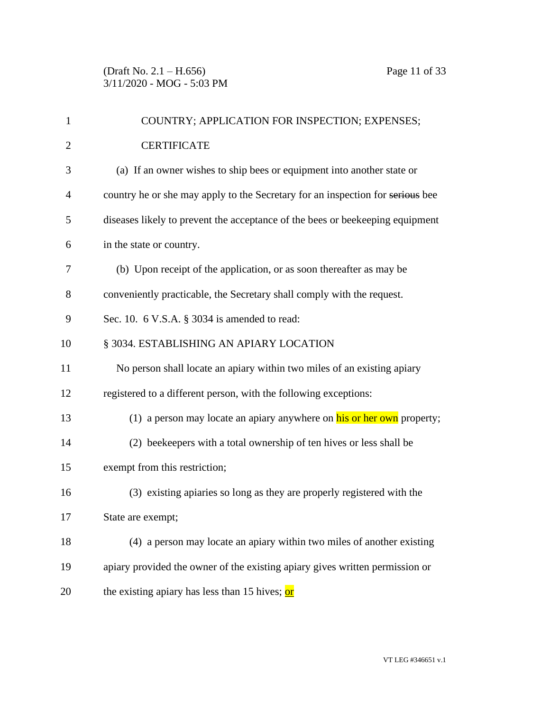| $\mathbf{1}$   | COUNTRY; APPLICATION FOR INSPECTION; EXPENSES;                                 |
|----------------|--------------------------------------------------------------------------------|
| $\overline{2}$ | <b>CERTIFICATE</b>                                                             |
| 3              | (a) If an owner wishes to ship bees or equipment into another state or         |
| 4              | country he or she may apply to the Secretary for an inspection for serious bee |
| 5              | diseases likely to prevent the acceptance of the bees or beekeeping equipment  |
| 6              | in the state or country.                                                       |
| 7              | (b) Upon receipt of the application, or as soon thereafter as may be           |
| 8              | conveniently practicable, the Secretary shall comply with the request.         |
| 9              | Sec. 10. $6$ V.S.A. $\S$ 3034 is amended to read:                              |
| 10             | § 3034. ESTABLISHING AN APIARY LOCATION                                        |
| 11             | No person shall locate an apiary within two miles of an existing apiary        |
| 12             | registered to a different person, with the following exceptions:               |
| 13             | (1) a person may locate an apiary anywhere on his or her own property;         |
| 14             | (2) beekeepers with a total ownership of ten hives or less shall be            |
| 15             | exempt from this restriction;                                                  |
| 16             | (3) existing apiaries so long as they are properly registered with the         |
| 17             | State are exempt;                                                              |
| 18             | (4) a person may locate an apiary within two miles of another existing         |
| 19             | apiary provided the owner of the existing apiary gives written permission or   |
| 20             | the existing apiary has less than 15 hives; or                                 |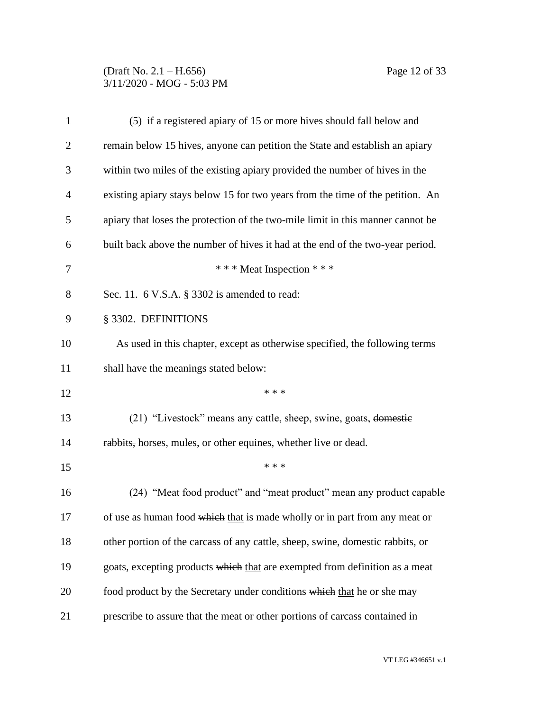# (Draft No. 2.1 – H.656) Page 12 of 33 3/11/2020 - MOG - 5:03 PM

| $\mathbf{1}$ | (5) if a registered apiary of 15 or more hives should fall below and            |
|--------------|---------------------------------------------------------------------------------|
| 2            | remain below 15 hives, anyone can petition the State and establish an apiary    |
| 3            | within two miles of the existing apiary provided the number of hives in the     |
| 4            | existing apiary stays below 15 for two years from the time of the petition. An  |
| 5            | apiary that loses the protection of the two-mile limit in this manner cannot be |
| 6            | built back above the number of hives it had at the end of the two-year period.  |
| 7            | *** Meat Inspection ***                                                         |
| 8            | Sec. 11. 6 V.S.A. § 3302 is amended to read:                                    |
| 9            | § 3302. DEFINITIONS                                                             |
| 10           | As used in this chapter, except as otherwise specified, the following terms     |
| 11           | shall have the meanings stated below:                                           |
| 12           | * * *                                                                           |
| 13           | (21) "Livestock" means any cattle, sheep, swine, goats, domestic                |
| 14           | rabbits, horses, mules, or other equines, whether live or dead.                 |
| 15           | * * *                                                                           |
| 16           | (24) "Meat food product" and "meat product" mean any product capable            |
| 17           | of use as human food which that is made wholly or in part from any meat or      |
| 18           | other portion of the carcass of any cattle, sheep, swine, domestic rabbits, or  |
| 19           | goats, excepting products which that are exempted from definition as a meat     |
| 20           | food product by the Secretary under conditions which that he or she may         |
| 21           | prescribe to assure that the meat or other portions of carcass contained in     |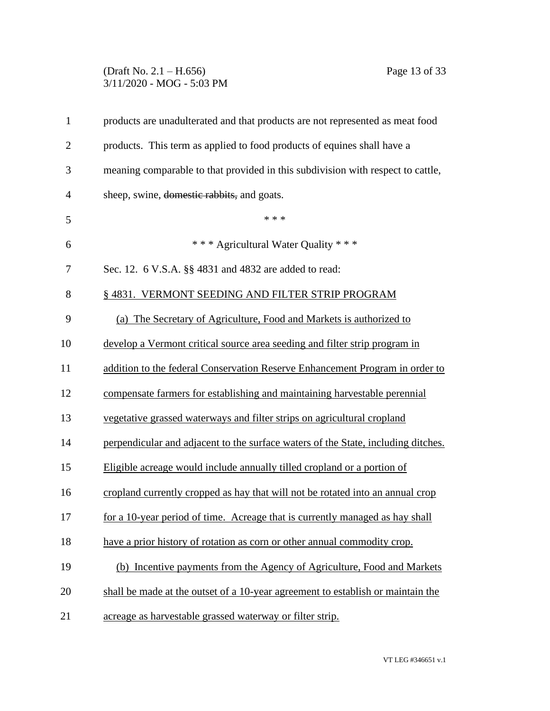## (Draft No. 2.1 – H.656) Page 13 of 33 3/11/2020 - MOG - 5:03 PM

| $\mathbf{1}$   | products are unadulterated and that products are not represented as meat food     |
|----------------|-----------------------------------------------------------------------------------|
| $\overline{2}$ | products. This term as applied to food products of equines shall have a           |
| 3              | meaning comparable to that provided in this subdivision with respect to cattle,   |
| $\overline{4}$ | sheep, swine, domestic rabbits, and goats.                                        |
| 5              | * * *                                                                             |
| 6              | *** Agricultural Water Quality ***                                                |
| 7              | Sec. 12. 6 V.S.A. §§ 4831 and 4832 are added to read:                             |
| 8              | § 4831. VERMONT SEEDING AND FILTER STRIP PROGRAM                                  |
| 9              | (a) The Secretary of Agriculture, Food and Markets is authorized to               |
| 10             | develop a Vermont critical source area seeding and filter strip program in        |
| 11             | addition to the federal Conservation Reserve Enhancement Program in order to      |
| 12             | compensate farmers for establishing and maintaining harvestable perennial         |
| 13             | vegetative grassed waterways and filter strips on agricultural cropland           |
| 14             | perpendicular and adjacent to the surface waters of the State, including ditches. |
| 15             | Eligible acreage would include annually tilled cropland or a portion of           |
| 16             | cropland currently cropped as hay that will not be rotated into an annual crop    |
| 17             | for a 10-year period of time. Acreage that is currently managed as hay shall      |
| 18             | have a prior history of rotation as corn or other annual commodity crop.          |
| 19             | (b) Incentive payments from the Agency of Agriculture, Food and Markets           |
| 20             | shall be made at the outset of a 10-year agreement to establish or maintain the   |
| 21             | acreage as harvestable grassed waterway or filter strip.                          |
|                |                                                                                   |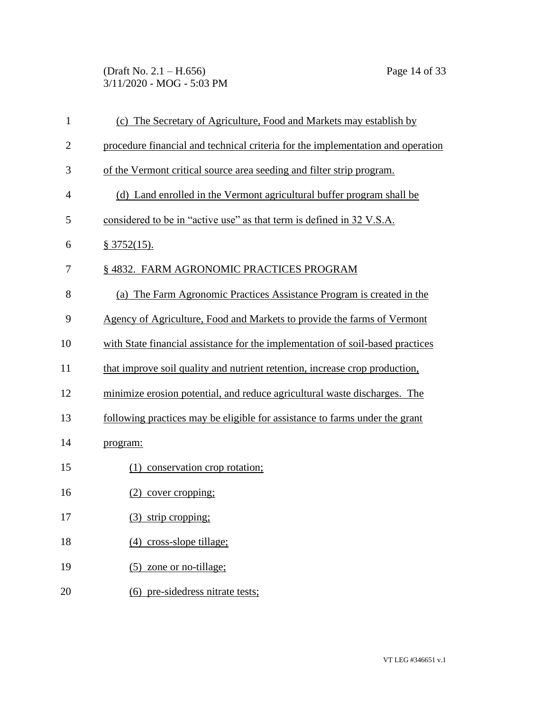(Draft No. 2.1 – H.656) Page 14 of 33 3/11/2020 - MOG - 5:03 PM

| $\mathbf{1}$   | (c) The Secretary of Agriculture, Food and Markets may establish by             |
|----------------|---------------------------------------------------------------------------------|
| $\overline{2}$ | procedure financial and technical criteria for the implementation and operation |
| 3              | of the Vermont critical source area seeding and filter strip program.           |
| $\overline{4}$ | (d) Land enrolled in the Vermont agricultural buffer program shall be           |
| 5              | considered to be in "active use" as that term is defined in 32 V.S.A.           |
| 6              | § 3752(15).                                                                     |
| 7              | § 4832. FARM AGRONOMIC PRACTICES PROGRAM                                        |
| 8              | (a) The Farm Agronomic Practices Assistance Program is created in the           |
| 9              | Agency of Agriculture, Food and Markets to provide the farms of Vermont         |
| 10             | with State financial assistance for the implementation of soil-based practices  |
| 11             | that improve soil quality and nutrient retention, increase crop production,     |
| 12             | minimize erosion potential, and reduce agricultural waste discharges. The       |
| 13             | following practices may be eligible for assistance to farms under the grant     |
| 14             | program:                                                                        |
| 15             | (1) conservation crop rotation;                                                 |
| 16             | $(2)$ cover cropping;                                                           |
| 17             | (3) strip cropping;                                                             |
| 18             | (4) cross-slope tillage;                                                        |
| 19             | $(5)$ zone or no-tillage;                                                       |
| 20             | (6) pre-sidedress nitrate tests;                                                |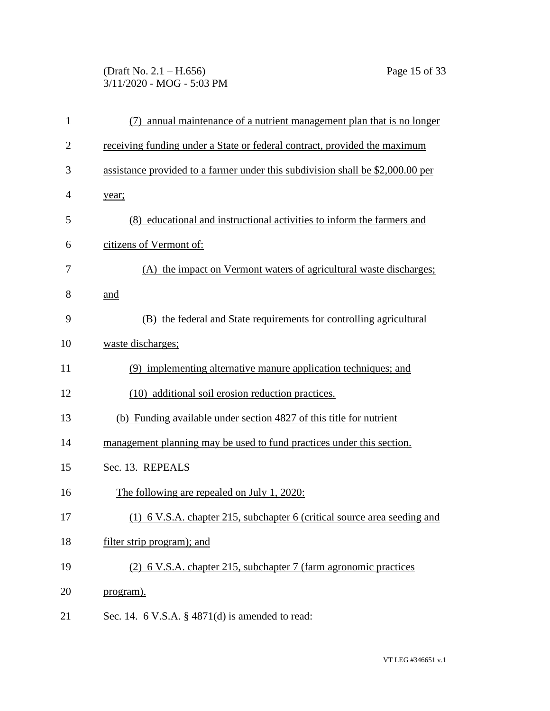# (Draft No. 2.1 – H.656) Page 15 of 33 3/11/2020 - MOG - 5:03 PM

| $\mathbf{1}$ | annual maintenance of a nutrient management plan that is no longer<br>(7)      |
|--------------|--------------------------------------------------------------------------------|
| 2            | receiving funding under a State or federal contract, provided the maximum      |
| 3            | assistance provided to a farmer under this subdivision shall be \$2,000.00 per |
| 4            | year;                                                                          |
| 5            | (8) educational and instructional activities to inform the farmers and         |
| 6            | citizens of Vermont of:                                                        |
| 7            | (A) the impact on Vermont waters of agricultural waste discharges;             |
| 8            | and                                                                            |
| 9            | (B) the federal and State requirements for controlling agricultural            |
| 10           | waste discharges;                                                              |
| 11           | (9) implementing alternative manure application techniques; and                |
| 12           | (10) additional soil erosion reduction practices.                              |
| 13           | (b) Funding available under section 4827 of this title for nutrient            |
| 14           | management planning may be used to fund practices under this section.          |
| 15           | Sec. 13. REPEALS                                                               |
| 16           | The following are repealed on July 1, 2020:                                    |
| 17           | (1) 6 V.S.A. chapter 215, subchapter 6 (critical source area seeding and       |
| 18           | filter strip program); and                                                     |
| 19           | (2) 6 V.S.A. chapter 215, subchapter 7 (farm agronomic practices               |
| 20           | program).                                                                      |
| 21           | Sec. 14. $6$ V.S.A. $\S$ 4871(d) is amended to read:                           |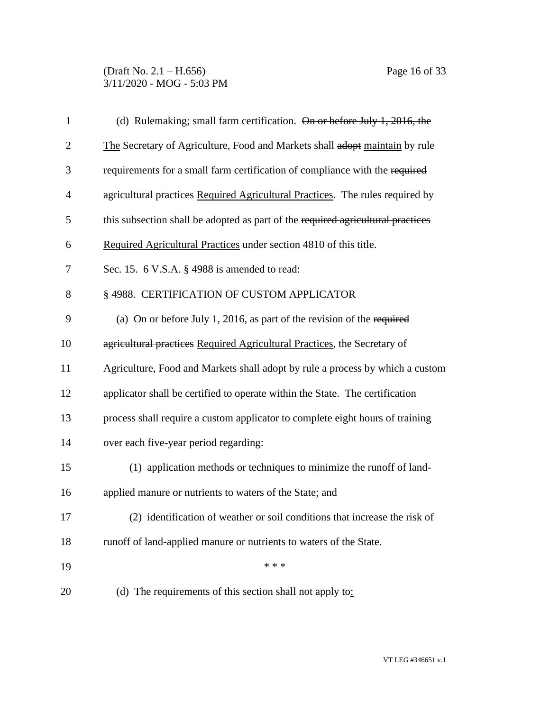| $\mathbf{1}$   | (d) Rulemaking; small farm certification. On or before July 1, 2016, the        |
|----------------|---------------------------------------------------------------------------------|
| $\overline{2}$ | The Secretary of Agriculture, Food and Markets shall adopt maintain by rule     |
| 3              | requirements for a small farm certification of compliance with the required     |
| $\overline{4}$ | agricultural practices Required Agricultural Practices. The rules required by   |
| 5              | this subsection shall be adopted as part of the required agricultural practices |
| 6              | Required Agricultural Practices under section 4810 of this title.               |
| $\overline{7}$ | Sec. 15. $6$ V.S.A. $\S$ 4988 is amended to read:                               |
| 8              | § 4988. CERTIFICATION OF CUSTOM APPLICATOR                                      |
| 9              | (a) On or before July 1, 2016, as part of the revision of the required          |
| 10             | agricultural practices Required Agricultural Practices, the Secretary of        |
| 11             | Agriculture, Food and Markets shall adopt by rule a process by which a custom   |
| 12             | applicator shall be certified to operate within the State. The certification    |
| 13             | process shall require a custom applicator to complete eight hours of training   |
| 14             | over each five-year period regarding:                                           |
| 15             | (1) application methods or techniques to minimize the runoff of land-           |
| 16             | applied manure or nutrients to waters of the State; and                         |
| 17             | (2) identification of weather or soil conditions that increase the risk of      |
| 18             | runoff of land-applied manure or nutrients to waters of the State.              |
| 19             | * * *                                                                           |
| 20             | (d) The requirements of this section shall not apply to:                        |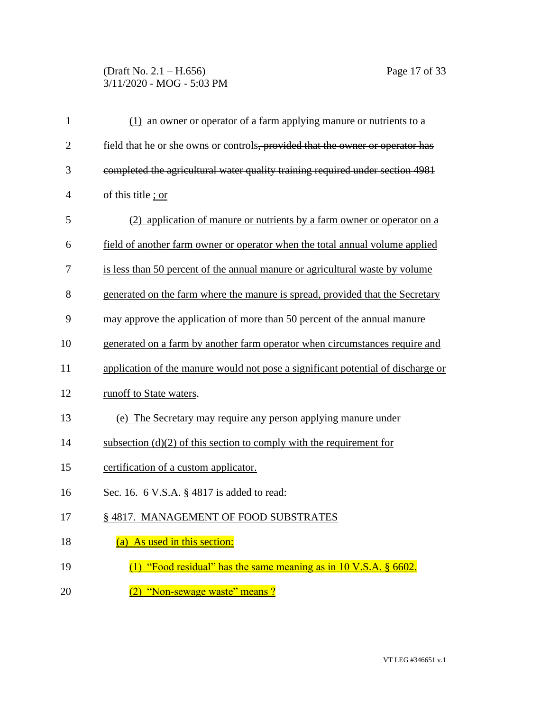# (Draft No. 2.1 – H.656) Page 17 of 33 3/11/2020 - MOG - 5:03 PM

| $\mathbf{1}$   | $(1)$ an owner or operator of a farm applying manure or nutrients to a           |
|----------------|----------------------------------------------------------------------------------|
| $\overline{2}$ | field that he or she owns or controls, provided that the owner or operator has   |
| 3              | completed the agricultural water quality training required under section 4981    |
| 4              | of this title; or                                                                |
| 5              | (2) application of manure or nutrients by a farm owner or operator on a          |
| 6              | field of another farm owner or operator when the total annual volume applied     |
| 7              | is less than 50 percent of the annual manure or agricultural waste by volume     |
| 8              | generated on the farm where the manure is spread, provided that the Secretary    |
| 9              | may approve the application of more than 50 percent of the annual manure         |
| 10             | generated on a farm by another farm operator when circumstances require and      |
| 11             | application of the manure would not pose a significant potential of discharge or |
| 12             | runoff to State waters.                                                          |
| 13             | (e) The Secretary may require any person applying manure under                   |
| 14             | subsection $(d)(2)$ of this section to comply with the requirement for           |
| 15             | certification of a custom applicator.                                            |
| 16             | Sec. 16. 6 V.S.A. § 4817 is added to read:                                       |
| 17             | § 4817. MANAGEMENT OF FOOD SUBSTRATES                                            |
| 18             | (a) As used in this section:                                                     |
| 19             | (1) "Food residual" has the same meaning as in $10$ V.S.A. $\S$ 6602.            |
| 20             | "Non-sewage waste" means?                                                        |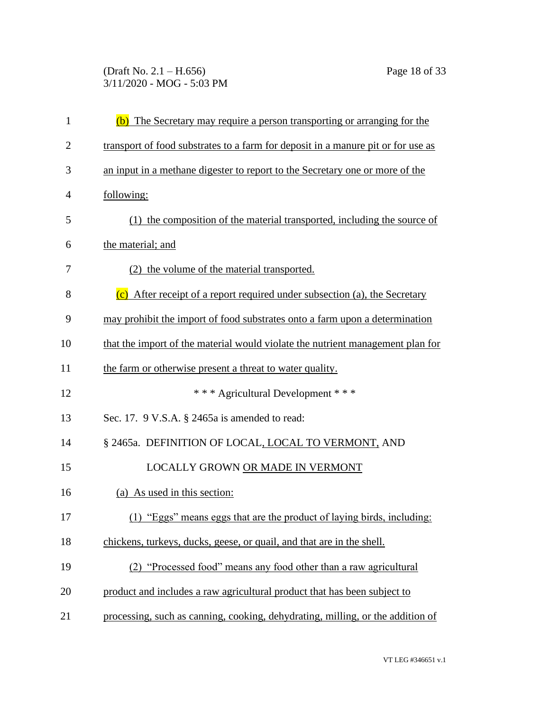(Draft No. 2.1 – H.656) Page 18 of 33 3/11/2020 - MOG - 5:03 PM

| $\mathbf{1}$   | (b) The Secretary may require a person transporting or arranging for the         |
|----------------|----------------------------------------------------------------------------------|
| $\overline{2}$ | transport of food substrates to a farm for deposit in a manure pit or for use as |
| 3              | an input in a methane digester to report to the Secretary one or more of the     |
| $\overline{4}$ | following:                                                                       |
| 5              | (1) the composition of the material transported, including the source of         |
| 6              | the material; and                                                                |
| 7              | (2) the volume of the material transported.                                      |
| 8              | (c) After receipt of a report required under subsection (a), the Secretary       |
| 9              | may prohibit the import of food substrates onto a farm upon a determination      |
| 10             | that the import of the material would violate the nutrient management plan for   |
| 11             | the farm or otherwise present a threat to water quality.                         |
| 12             | *** Agricultural Development ***                                                 |
| 13             | Sec. 17. 9 V.S.A. § 2465a is amended to read:                                    |
| 14             | § 2465a. DEFINITION OF LOCAL, LOCAL TO VERMONT, AND                              |
| 15             | LOCALLY GROWN OR MADE IN VERMONT                                                 |
| 16             | (a) As used in this section:                                                     |
| 17             | (1) "Eggs" means eggs that are the product of laying birds, including:           |
| 18             | chickens, turkeys, ducks, geese, or quail, and that are in the shell.            |
| 19             | (2) "Processed food" means any food other than a raw agricultural                |
| 20             | product and includes a raw agricultural product that has been subject to         |
| 21             | processing, such as canning, cooking, dehydrating, milling, or the addition of   |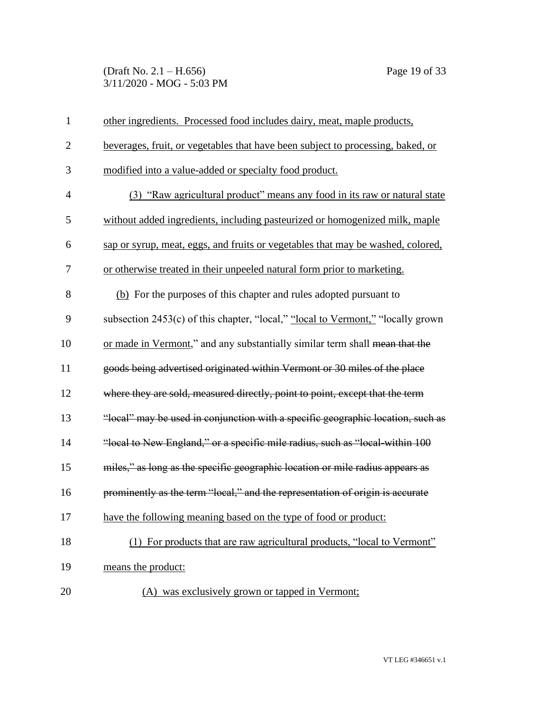(Draft No. 2.1 – H.656) Page 19 of 33 3/11/2020 - MOG - 5:03 PM

| $\mathbf{1}$   | other ingredients. Processed food includes dairy, meat, maple products,         |
|----------------|---------------------------------------------------------------------------------|
| $\overline{2}$ | beverages, fruit, or vegetables that have been subject to processing, baked, or |
| 3              | modified into a value-added or specialty food product.                          |
| $\overline{4}$ | (3) "Raw agricultural product" means any food in its raw or natural state       |
| 5              | without added ingredients, including pasteurized or homogenized milk, maple     |
| 6              | sap or syrup, meat, eggs, and fruits or vegetables that may be washed, colored, |
| 7              | or otherwise treated in their unpeeled natural form prior to marketing.         |
| 8              | (b) For the purposes of this chapter and rules adopted pursuant to              |
| 9              | subsection 2453(c) of this chapter, "local," "local to Vermont," "locally grown |
| 10             | or made in Vermont," and any substantially similar term shall mean that the     |
| 11             | goods being advertised originated within Vermont or 30 miles of the place       |
| 12             | where they are sold, measured directly, point to point, except that the term    |
| 13             | "local" may be used in conjunction with a specific geographic location, such as |
| 14             | "local to New England," or a specific mile radius, such as "local-within 100    |
| 15             | miles," as long as the specific geographic location or mile radius appears as   |
| 16             | prominently as the term "local," and the representation of origin is accurate   |
| 17             | have the following meaning based on the type of food or product:                |
| 18             | (1) For products that are raw agricultural products, "local to Vermont"         |
| 19             | means the product:                                                              |
| 20             | (A) was exclusively grown or tapped in Vermont;                                 |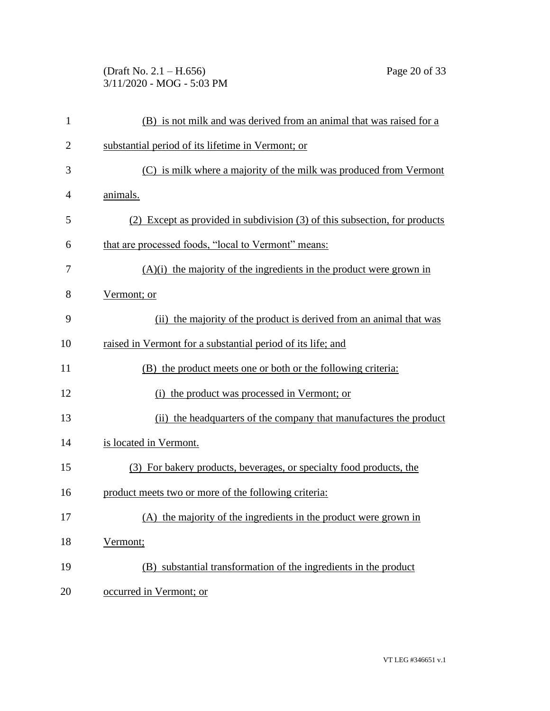(Draft No. 2.1 – H.656) Page 20 of 33 3/11/2020 - MOG - 5:03 PM

| 1              | (B) is not milk and was derived from an animal that was raised for a       |
|----------------|----------------------------------------------------------------------------|
| $\overline{2}$ | substantial period of its lifetime in Vermont; or                          |
| 3              | (C) is milk where a majority of the milk was produced from Vermont         |
| 4              | animals.                                                                   |
| 5              | (2) Except as provided in subdivision (3) of this subsection, for products |
| 6              | that are processed foods, "local to Vermont" means:                        |
| 7              | $(A)(i)$ the majority of the ingredients in the product were grown in      |
| 8              | Vermont; or                                                                |
| 9              | (ii) the majority of the product is derived from an animal that was        |
| 10             | raised in Vermont for a substantial period of its life; and                |
| 11             | (B) the product meets one or both or the following criteria:               |
| 12             | (i) the product was processed in Vermont; or                               |
| 13             | (ii) the headquarters of the company that manufactures the product         |
| 14             | is located in Vermont.                                                     |
| 15             | (3) For bakery products, beverages, or specialty food products, the        |
| 16             | product meets two or more of the following criteria:                       |
| 17             | (A) the majority of the ingredients in the product were grown in           |
| 18             | Vermont;                                                                   |
| 19             | (B) substantial transformation of the ingredients in the product           |
| 20             | occurred in Vermont; or                                                    |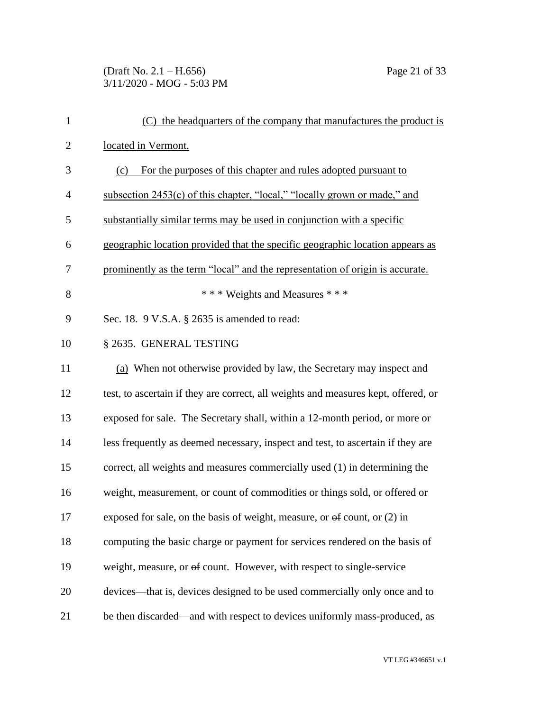# (Draft No. 2.1 – H.656) Page 21 of 33 3/11/2020 - MOG - 5:03 PM

| $\mathbf{1}$   | (C) the headquarters of the company that manufactures the product is               |
|----------------|------------------------------------------------------------------------------------|
| $\overline{2}$ | located in Vermont.                                                                |
| 3              | For the purposes of this chapter and rules adopted pursuant to<br>(c)              |
| $\overline{4}$ | subsection 2453(c) of this chapter, "local," "locally grown or made," and          |
| 5              | substantially similar terms may be used in conjunction with a specific             |
| 6              | geographic location provided that the specific geographic location appears as      |
| 7              | prominently as the term "local" and the representation of origin is accurate.      |
| 8              | *** Weights and Measures ***                                                       |
| 9              | Sec. 18. 9 V.S.A. § 2635 is amended to read:                                       |
| 10             | § 2635. GENERAL TESTING                                                            |
| 11             | (a) When not otherwise provided by law, the Secretary may inspect and              |
| 12             | test, to ascertain if they are correct, all weights and measures kept, offered, or |
| 13             | exposed for sale. The Secretary shall, within a 12-month period, or more or        |
| 14             | less frequently as deemed necessary, inspect and test, to ascertain if they are    |
| 15             | correct, all weights and measures commercially used (1) in determining the         |
| 16             | weight, measurement, or count of commodities or things sold, or offered or         |
| 17             | exposed for sale, on the basis of weight, measure, or $\Theta$ count, or (2) in    |
| 18             | computing the basic charge or payment for services rendered on the basis of        |
| 19             | weight, measure, or of count. However, with respect to single-service              |
| 20             | devices—that is, devices designed to be used commercially only once and to         |
| 21             | be then discarded—and with respect to devices uniformly mass-produced, as          |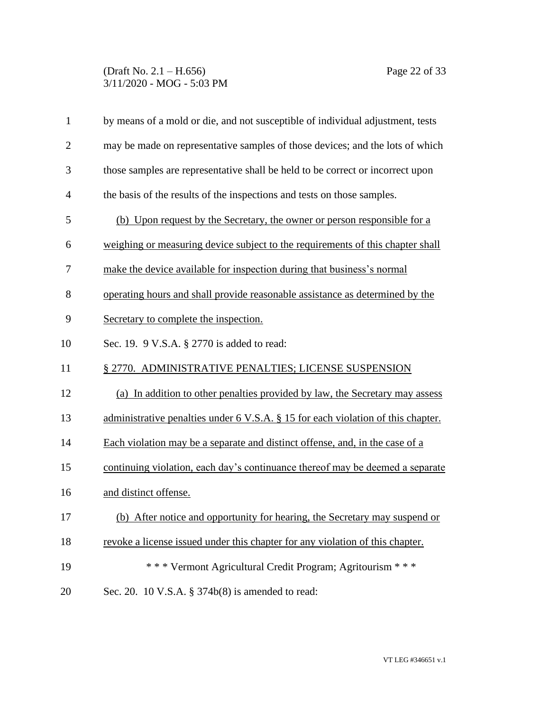## (Draft No. 2.1 – H.656) Page 22 of 33 3/11/2020 - MOG - 5:03 PM

| $\mathbf{1}$   | by means of a mold or die, and not susceptible of individual adjustment, tests   |
|----------------|----------------------------------------------------------------------------------|
| $\overline{2}$ | may be made on representative samples of those devices; and the lots of which    |
| 3              | those samples are representative shall be held to be correct or incorrect upon   |
| $\overline{4}$ | the basis of the results of the inspections and tests on those samples.          |
| 5              | (b) Upon request by the Secretary, the owner or person responsible for a         |
| 6              | weighing or measuring device subject to the requirements of this chapter shall   |
| 7              | make the device available for inspection during that business's normal           |
| 8              | operating hours and shall provide reasonable assistance as determined by the     |
| 9              | Secretary to complete the inspection.                                            |
| 10             | Sec. 19. 9 V.S.A. § 2770 is added to read:                                       |
| 11             | § 2770. ADMINISTRATIVE PENALTIES; LICENSE SUSPENSION                             |
| 12             | (a) In addition to other penalties provided by law, the Secretary may assess     |
| 13             | administrative penalties under 6 V.S.A. § 15 for each violation of this chapter. |
| 14             | Each violation may be a separate and distinct offense, and, in the case of a     |
| 15             | continuing violation, each day's continuance thereof may be deemed a separate    |
| 16             | and distinct offense.                                                            |
| 17             | (b) After notice and opportunity for hearing, the Secretary may suspend or       |
| 18             | revoke a license issued under this chapter for any violation of this chapter.    |
| 19             | *** Vermont Agricultural Credit Program; Agritourism ***                         |
| 20             | Sec. 20. 10 V.S.A. § 374b(8) is amended to read:                                 |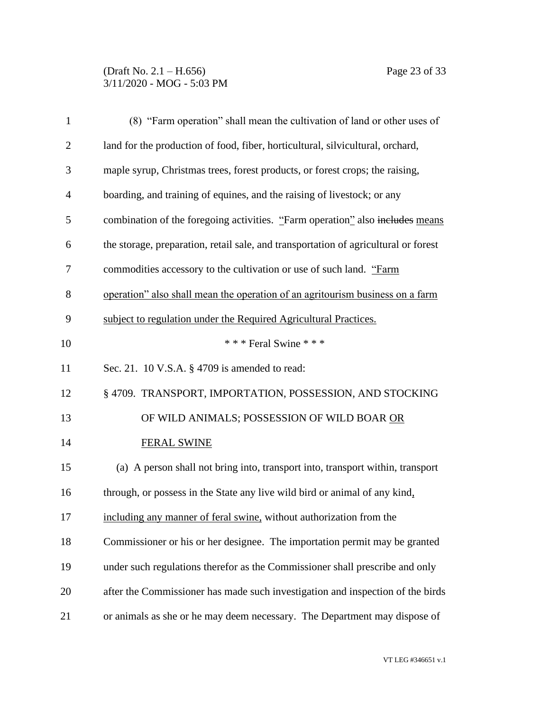# (Draft No. 2.1 – H.656) Page 23 of 33 3/11/2020 - MOG - 5:03 PM

| $\mathbf{1}$   | (8) "Farm operation" shall mean the cultivation of land or other uses of            |
|----------------|-------------------------------------------------------------------------------------|
| $\overline{2}$ | land for the production of food, fiber, horticultural, silvicultural, orchard,      |
| 3              | maple syrup, Christmas trees, forest products, or forest crops; the raising,        |
| $\overline{4}$ | boarding, and training of equines, and the raising of livestock; or any             |
| 5              | combination of the foregoing activities. "Farm operation" also includes means       |
| 6              | the storage, preparation, retail sale, and transportation of agricultural or forest |
| $\overline{7}$ | commodities accessory to the cultivation or use of such land. "Farm                 |
| 8              | operation" also shall mean the operation of an agritourism business on a farm       |
| 9              | subject to regulation under the Required Agricultural Practices.                    |
| 10             | *** Feral Swine ***                                                                 |
| 11             | Sec. 21. 10 V.S.A. § 4709 is amended to read:                                       |
| 12             | § 4709. TRANSPORT, IMPORTATION, POSSESSION, AND STOCKING                            |
| 13             | OF WILD ANIMALS; POSSESSION OF WILD BOAR OR                                         |
| 14             | <b>FERAL SWINE</b>                                                                  |
| 15             | (a) A person shall not bring into, transport into, transport within, transport      |
| 16             | through, or possess in the State any live wild bird or animal of any kind,          |
| 17             | including any manner of feral swine, without authorization from the                 |
| 18             | Commissioner or his or her designee. The importation permit may be granted          |
| 19             | under such regulations therefor as the Commissioner shall prescribe and only        |
| 20             | after the Commissioner has made such investigation and inspection of the birds      |
| 21             | or animals as she or he may deem necessary. The Department may dispose of           |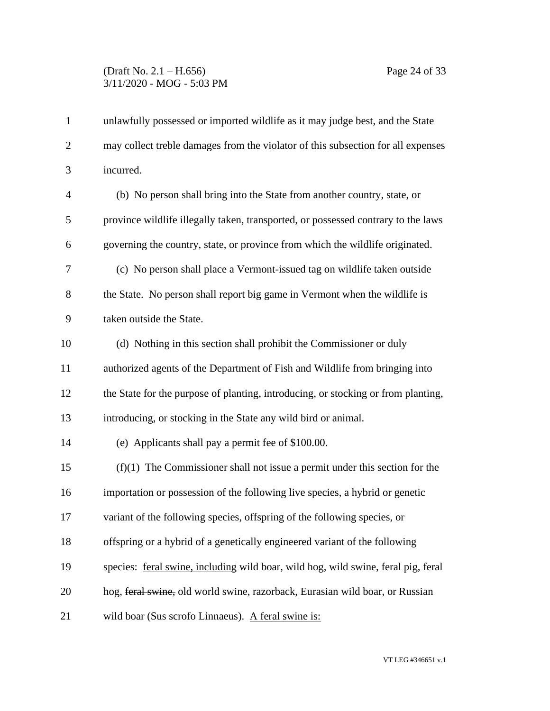# (Draft No. 2.1 – H.656) Page 24 of 33 3/11/2020 - MOG - 5:03 PM

| $\mathbf{1}$   | unlawfully possessed or imported wildlife as it may judge best, and the State     |
|----------------|-----------------------------------------------------------------------------------|
| $\overline{2}$ | may collect treble damages from the violator of this subsection for all expenses  |
| 3              | incurred.                                                                         |
| $\overline{4}$ | (b) No person shall bring into the State from another country, state, or          |
| 5              | province wildlife illegally taken, transported, or possessed contrary to the laws |
| 6              | governing the country, state, or province from which the wildlife originated.     |
| $\overline{7}$ | (c) No person shall place a Vermont-issued tag on wildlife taken outside          |
| 8              | the State. No person shall report big game in Vermont when the wildlife is        |
| 9              | taken outside the State.                                                          |
| 10             | (d) Nothing in this section shall prohibit the Commissioner or duly               |
| 11             | authorized agents of the Department of Fish and Wildlife from bringing into       |
| 12             | the State for the purpose of planting, introducing, or stocking or from planting, |
| 13             | introducing, or stocking in the State any wild bird or animal.                    |
| 14             | (e) Applicants shall pay a permit fee of \$100.00.                                |
| 15             | $(f)(1)$ The Commissioner shall not issue a permit under this section for the     |
| 16             | importation or possession of the following live species, a hybrid or genetic      |
| 17             | variant of the following species, offspring of the following species, or          |
| 18             | offspring or a hybrid of a genetically engineered variant of the following        |
| 19             | species: feral swine, including wild boar, wild hog, wild swine, feral pig, feral |
| 20             | hog, feral swine, old world swine, razorback, Eurasian wild boar, or Russian      |
| 21             | wild boar (Sus scrofo Linnaeus). A feral swine is:                                |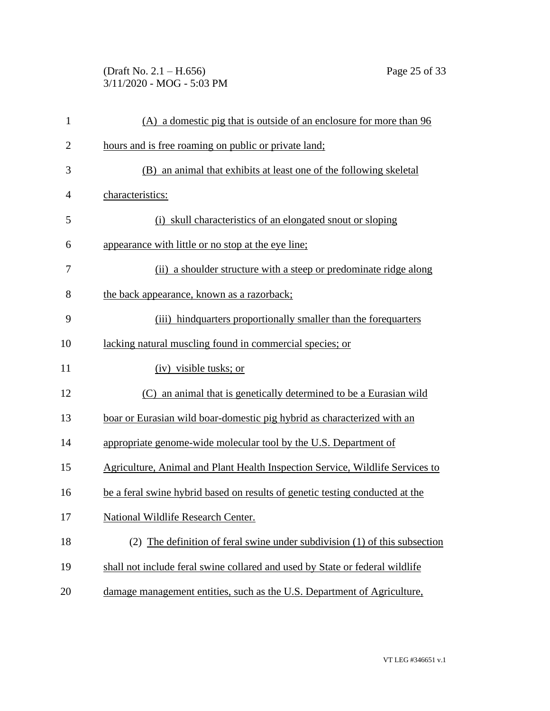(Draft No. 2.1 – H.656) Page 25 of 33 3/11/2020 - MOG - 5:03 PM

| $\mathbf{1}$   | (A) a domestic pig that is outside of an enclosure for more than 96           |
|----------------|-------------------------------------------------------------------------------|
| $\overline{c}$ | hours and is free roaming on public or private land;                          |
| 3              | (B) an animal that exhibits at least one of the following skeletal            |
| 4              | characteristics:                                                              |
| 5              | (i) skull characteristics of an elongated snout or sloping                    |
| 6              | appearance with little or no stop at the eye line;                            |
| 7              | (ii) a shoulder structure with a steep or predominate ridge along             |
| 8              | the back appearance, known as a razorback;                                    |
| 9              | (iii) hindquarters proportionally smaller than the forequarters               |
| 10             | lacking natural muscling found in commercial species; or                      |
| 11             | (iv) visible tusks; or                                                        |
| 12             | (C) an animal that is genetically determined to be a Eurasian wild            |
| 13             | boar or Eurasian wild boar-domestic pig hybrid as characterized with an       |
| 14             | appropriate genome-wide molecular tool by the U.S. Department of              |
| 15             | Agriculture, Animal and Plant Health Inspection Service, Wildlife Services to |
| 16             | be a feral swine hybrid based on results of genetic testing conducted at the  |
| 17             | National Wildlife Research Center.                                            |
| 18             | (2) The definition of feral swine under subdivision (1) of this subsection    |
| 19             | shall not include feral swine collared and used by State or federal wildlife  |
| 20             | damage management entities, such as the U.S. Department of Agriculture,       |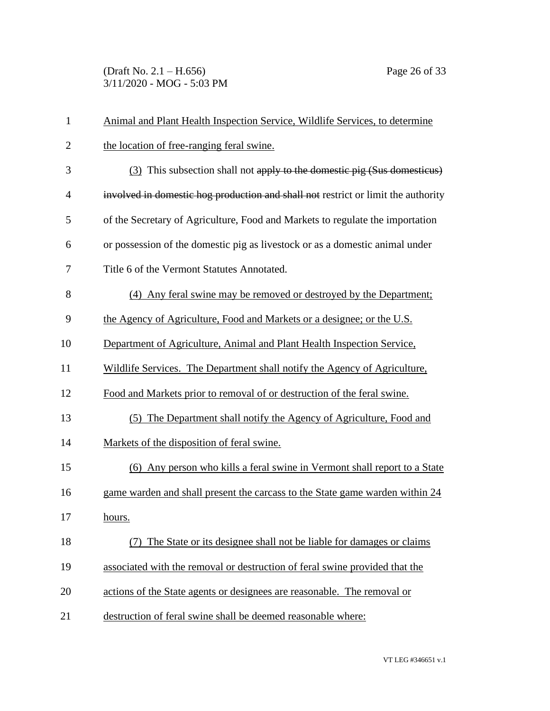(Draft No. 2.1 – H.656) Page 26 of 33 3/11/2020 - MOG - 5:03 PM

| 1              | Animal and Plant Health Inspection Service, Wildlife Services, to determine       |
|----------------|-----------------------------------------------------------------------------------|
| $\overline{2}$ | the location of free-ranging feral swine.                                         |
| 3              | (3) This subsection shall not apply to the domestic pig (Sus domesticus)          |
| 4              | involved in domestic hog production and shall not restrict or limit the authority |
| 5              | of the Secretary of Agriculture, Food and Markets to regulate the importation     |
| 6              | or possession of the domestic pig as livestock or as a domestic animal under      |
| 7              | Title 6 of the Vermont Statutes Annotated.                                        |
| 8              | (4) Any feral swine may be removed or destroyed by the Department;                |
| 9              | the Agency of Agriculture, Food and Markets or a designee; or the U.S.            |
| 10             | Department of Agriculture, Animal and Plant Health Inspection Service,            |
| 11             | Wildlife Services. The Department shall notify the Agency of Agriculture,         |
| 12             | Food and Markets prior to removal of or destruction of the feral swine.           |
| 13             | (5) The Department shall notify the Agency of Agriculture, Food and               |
| 14             | Markets of the disposition of feral swine.                                        |
| 15             | (6) Any person who kills a feral swine in Vermont shall report to a State         |
| 16             | game warden and shall present the carcass to the State game warden within 24      |
| 17             | hours.                                                                            |
| 18             | The State or its designee shall not be liable for damages or claims               |
| 19             | associated with the removal or destruction of feral swine provided that the       |
| 20             | actions of the State agents or designees are reasonable. The removal or           |
| 21             | destruction of feral swine shall be deemed reasonable where:                      |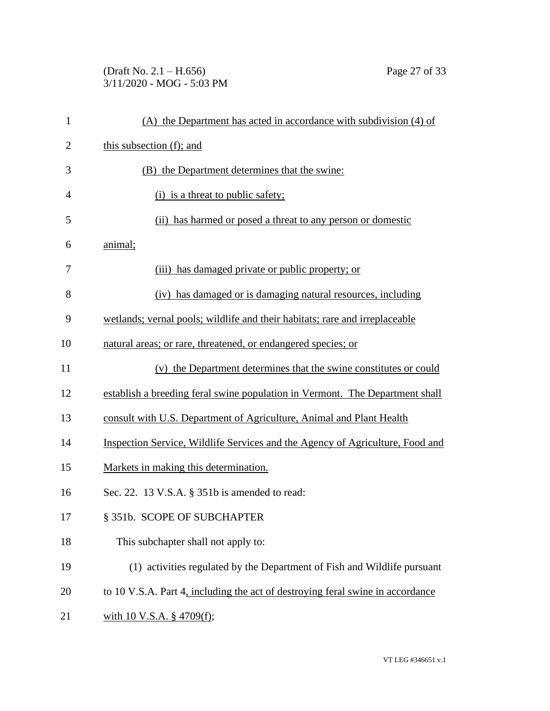# (Draft No. 2.1 – H.656) Page 27 of 33 3/11/2020 - MOG - 5:03 PM

| $\mathbf{1}$   | (A) the Department has acted in accordance with subdivision (4) of             |
|----------------|--------------------------------------------------------------------------------|
| $\overline{2}$ | this subsection (f); and                                                       |
| 3              | (B) the Department determines that the swine:                                  |
| $\overline{4}$ | (i) is a threat to public safety;                                              |
| 5              | (ii) has harmed or posed a threat to any person or domestic                    |
| 6              | animal;                                                                        |
| 7              | (iii) has damaged private or public property; or                               |
| 8              | (iv) has damaged or is damaging natural resources, including                   |
| 9              | wetlands; vernal pools; wildlife and their habitats; rare and irreplaceable    |
| 10             | natural areas; or rare, threatened, or endangered species; or                  |
| 11             | (v) the Department determines that the swine constitutes or could              |
| 12             | establish a breeding feral swine population in Vermont. The Department shall   |
| 13             | consult with U.S. Department of Agriculture, Animal and Plant Health           |
| 14             | Inspection Service, Wildlife Services and the Agency of Agriculture, Food and  |
| 15             | Markets in making this determination.                                          |
| 16             | Sec. 22. 13 V.S.A. § 351b is amended to read:                                  |
| 17             | § 351b. SCOPE OF SUBCHAPTER                                                    |
| 18             | This subchapter shall not apply to:                                            |
| 19             | (1) activities regulated by the Department of Fish and Wildlife pursuant       |
| 20             | to 10 V.S.A. Part 4, including the act of destroying feral swine in accordance |
| 21             | with 10 V.S.A. § 4709(f);                                                      |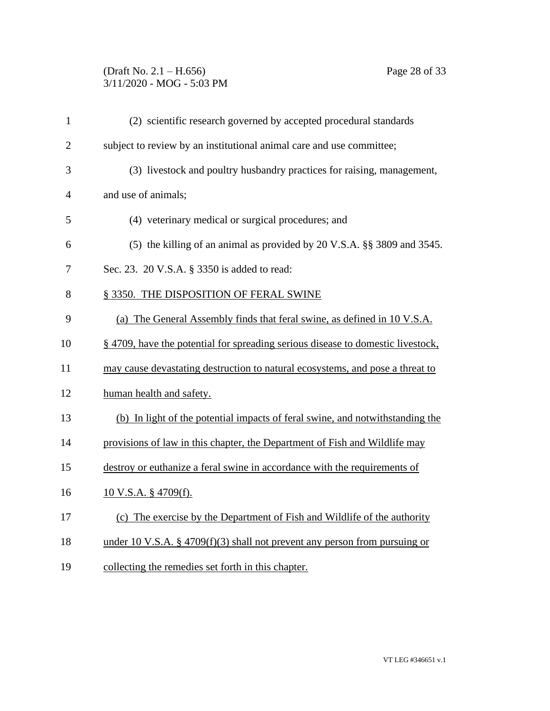## (Draft No. 2.1 – H.656) Page 28 of 33 3/11/2020 - MOG - 5:03 PM

| $\mathbf{1}$   | (2) scientific research governed by accepted procedural standards               |
|----------------|---------------------------------------------------------------------------------|
| $\overline{2}$ | subject to review by an institutional animal care and use committee;            |
| 3              | (3) livestock and poultry husbandry practices for raising, management,          |
| $\overline{4}$ | and use of animals;                                                             |
| 5              | (4) veterinary medical or surgical procedures; and                              |
| 6              | (5) the killing of an animal as provided by 20 V.S.A. §§ 3809 and 3545.         |
| 7              | Sec. 23. 20 V.S.A. § 3350 is added to read:                                     |
| 8              | § 3350. THE DISPOSITION OF FERAL SWINE                                          |
| 9              | (a) The General Assembly finds that feral swine, as defined in 10 V.S.A.        |
| 10             | § 4709, have the potential for spreading serious disease to domestic livestock, |
| 11             | may cause devastating destruction to natural ecosystems, and pose a threat to   |
| 12             | human health and safety.                                                        |
| 13             | (b) In light of the potential impacts of feral swine, and notwithstanding the   |
| 14             | provisions of law in this chapter, the Department of Fish and Wildlife may      |
| 15             | destroy or euthanize a feral swine in accordance with the requirements of       |
| 16             | <u>10 V.S.A. § 4709(f).</u>                                                     |
| 17             | (c) The exercise by the Department of Fish and Wildlife of the authority        |
| 18             | under 10 V.S.A. § 4709 $(f)(3)$ shall not prevent any person from pursuing or   |
| 19             | collecting the remedies set forth in this chapter.                              |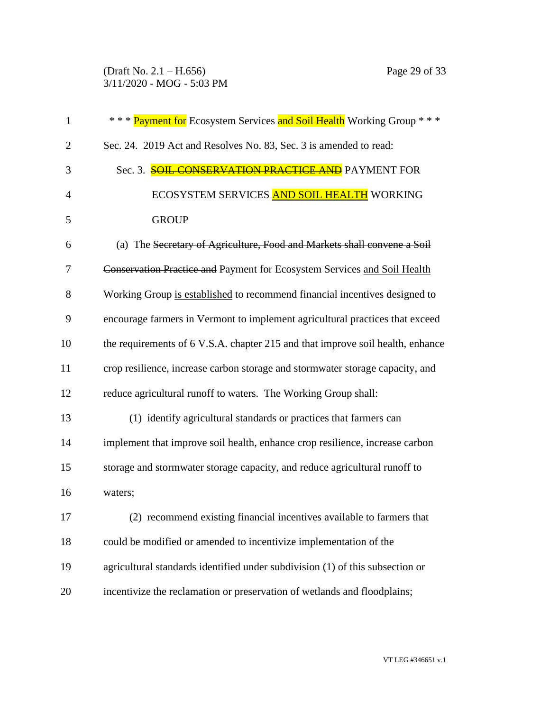## (Draft No. 2.1 – H.656) Page 29 of 33 3/11/2020 - MOG - 5:03 PM

| $\mathbf{1}$   | *** Payment for Ecosystem Services and Soil Health Working Group ***           |
|----------------|--------------------------------------------------------------------------------|
| $\overline{2}$ | Sec. 24. 2019 Act and Resolves No. 83, Sec. 3 is amended to read:              |
| 3              | Sec. 3. <b>SOIL CONSERVATION PRACTICE AND</b> PAYMENT FOR                      |
| $\overline{4}$ | ECOSYSTEM SERVICES AND SOIL HEALTH WORKING                                     |
| 5              | <b>GROUP</b>                                                                   |
| 6              | (a) The Secretary of Agriculture, Food and Markets shall convene a Soil        |
| 7              | Conservation Practice and Payment for Ecosystem Services and Soil Health       |
| 8              | Working Group is established to recommend financial incentives designed to     |
| 9              | encourage farmers in Vermont to implement agricultural practices that exceed   |
| 10             | the requirements of 6 V.S.A. chapter 215 and that improve soil health, enhance |
| 11             | crop resilience, increase carbon storage and stormwater storage capacity, and  |
| 12             | reduce agricultural runoff to waters. The Working Group shall:                 |
| 13             | (1) identify agricultural standards or practices that farmers can              |
| 14             | implement that improve soil health, enhance crop resilience, increase carbon   |
| 15             | storage and stormwater storage capacity, and reduce agricultural runoff to     |
| 16             | waters;                                                                        |
| 17             | (2) recommend existing financial incentives available to farmers that          |
| 18             | could be modified or amended to incentivize implementation of the              |
| 19             | agricultural standards identified under subdivision (1) of this subsection or  |
| 20             | incentivize the reclamation or preservation of wetlands and floodplains;       |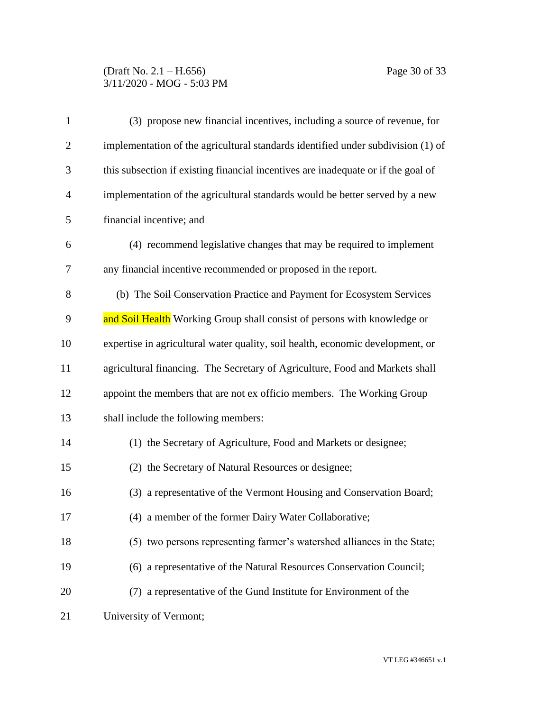# (Draft No. 2.1 – H.656) Page 30 of 33 3/11/2020 - MOG - 5:03 PM

| $\mathbf{1}$   | (3) propose new financial incentives, including a source of revenue, for          |
|----------------|-----------------------------------------------------------------------------------|
| $\overline{2}$ | implementation of the agricultural standards identified under subdivision (1) of  |
| 3              | this subsection if existing financial incentives are inadequate or if the goal of |
| $\overline{4}$ | implementation of the agricultural standards would be better served by a new      |
| 5              | financial incentive; and                                                          |
| 6              | (4) recommend legislative changes that may be required to implement               |
| 7              | any financial incentive recommended or proposed in the report.                    |
| 8              | (b) The Soil Conservation Practice and Payment for Ecosystem Services             |
| 9              | and Soil Health Working Group shall consist of persons with knowledge or          |
| 10             | expertise in agricultural water quality, soil health, economic development, or    |
| 11             | agricultural financing. The Secretary of Agriculture, Food and Markets shall      |
| 12             | appoint the members that are not ex officio members. The Working Group            |
| 13             | shall include the following members:                                              |
| 14             | (1) the Secretary of Agriculture, Food and Markets or designee;                   |
| 15             | (2) the Secretary of Natural Resources or designee;                               |
| 16             | (3) a representative of the Vermont Housing and Conservation Board;               |
| 17             | (4) a member of the former Dairy Water Collaborative;                             |
| 18             | (5) two persons representing farmer's watershed alliances in the State;           |
| 19             | (6) a representative of the Natural Resources Conservation Council;               |
| 20             | (7) a representative of the Gund Institute for Environment of the                 |
| 21             | University of Vermont;                                                            |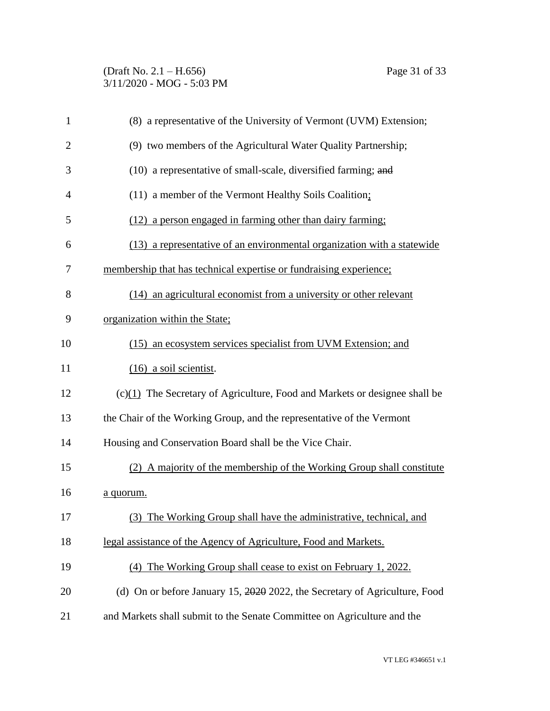| $\mathbf{1}$   | (8) a representative of the University of Vermont (UVM) Extension;           |
|----------------|------------------------------------------------------------------------------|
| $\overline{2}$ | (9) two members of the Agricultural Water Quality Partnership;               |
| 3              | (10) a representative of small-scale, diversified farming; and               |
| $\overline{4}$ | (11) a member of the Vermont Healthy Soils Coalition;                        |
| 5              | (12) a person engaged in farming other than dairy farming;                   |
| 6              | (13) a representative of an environmental organization with a statewide      |
| 7              | membership that has technical expertise or fundraising experience;           |
| 8              | (14) an agricultural economist from a university or other relevant           |
| 9              | organization within the State;                                               |
| 10             | (15) an ecosystem services specialist from UVM Extension; and                |
| 11             | $(16)$ a soil scientist.                                                     |
| 12             | $(c)(1)$ The Secretary of Agriculture, Food and Markets or designee shall be |
| 13             | the Chair of the Working Group, and the representative of the Vermont        |
| 14             | Housing and Conservation Board shall be the Vice Chair.                      |
| 15             | (2) A majority of the membership of the Working Group shall constitute       |
| 16             | a quorum.                                                                    |
| 17             | (3) The Working Group shall have the administrative, technical, and          |
| 18             | legal assistance of the Agency of Agriculture, Food and Markets.             |
| 19             | The Working Group shall cease to exist on February 1, 2022.<br>(4)           |
| 20             | (d) On or before January 15, 2020 2022, the Secretary of Agriculture, Food   |
| 21             | and Markets shall submit to the Senate Committee on Agriculture and the      |
|                |                                                                              |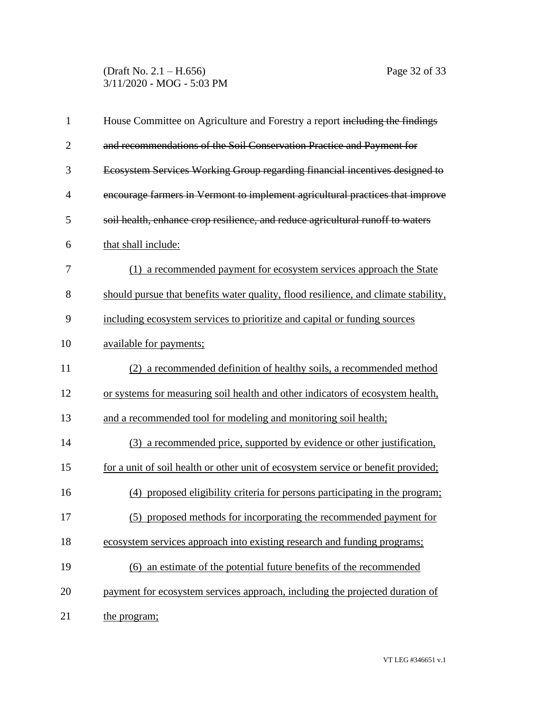(Draft No. 2.1 – H.656) Page 32 of 33 3/11/2020 - MOG - 5:03 PM

| $\mathbf{1}$   | House Committee on Agriculture and Forestry a report including the findings         |
|----------------|-------------------------------------------------------------------------------------|
| $\overline{2}$ | and recommendations of the Soil Conservation Practice and Payment for               |
| 3              | Ecosystem Services Working Group regarding financial incentives designed to         |
| $\overline{4}$ | encourage farmers in Vermont to implement agricultural practices that improve       |
| 5              | soil health, enhance crop resilience, and reduce agricultural runoff to waters      |
| 6              | that shall include:                                                                 |
| 7              | (1) a recommended payment for ecosystem services approach the State                 |
| 8              | should pursue that benefits water quality, flood resilience, and climate stability, |
| 9              | including ecosystem services to prioritize and capital or funding sources           |
| 10             | available for payments;                                                             |
| 11             | (2) a recommended definition of healthy soils, a recommended method                 |
| 12             | or systems for measuring soil health and other indicators of ecosystem health,      |
| 13             | and a recommended tool for modeling and monitoring soil health;                     |
| 14             | (3) a recommended price, supported by evidence or other justification,              |
| 15             | for a unit of soil health or other unit of ecosystem service or benefit provided;   |
| 16             | (4) proposed eligibility criteria for persons participating in the program;         |
| 17             | (5) proposed methods for incorporating the recommended payment for                  |
| 18             | ecosystem services approach into existing research and funding programs;            |
| 19             | (6) an estimate of the potential future benefits of the recommended                 |
| 20             | payment for ecosystem services approach, including the projected duration of        |
| 21             | the program;                                                                        |